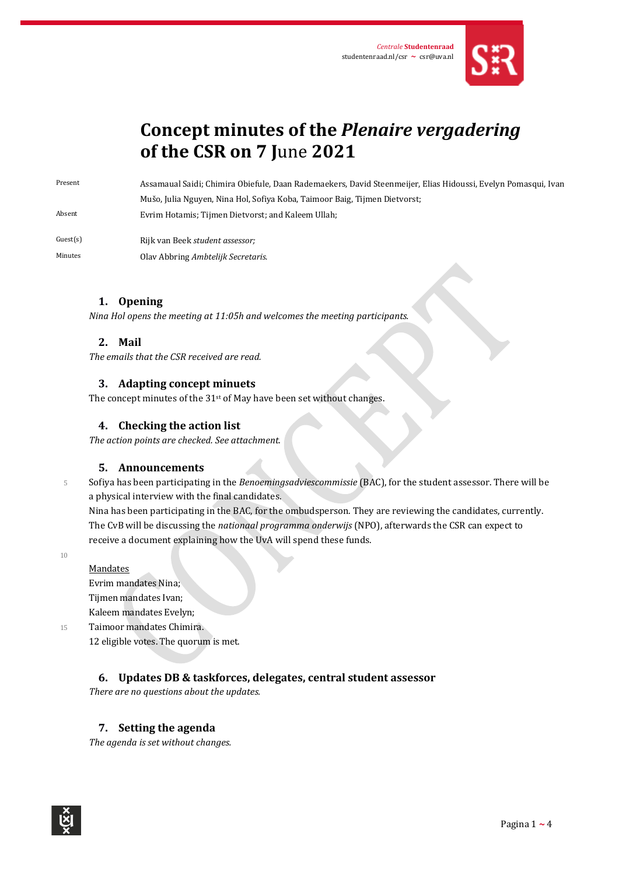

# **Concept minutes of the** *Plenaire vergadering* **of the CSR on 7 J**une **2021**

Present Assamaual Saidi; Chimira Obiefule, Daan Rademaekers, David Steenmeijer, Elias Hidoussi, Evelyn Pomasqui, Ivan Mušo, Julia Nguyen, Nina Hol, Sofiya Koba, Taimoor Baig, Tijmen Dietvorst; Absent Evrim Hotamis; Tijmen Dietvorst; and Kaleem Ullah;

Guest(s) Rijk van Beek *student assessor;* Minutes Olav Abbring *Ambtelijk Secretaris*.

## **1. Opening**

*Nina Hol opens the meeting at 11:05h and welcomes the meeting participants.* 

### **2. Mail**

*The emails that the CSR received are read.*

#### **3. Adapting concept minuets**

The concept minutes of the 31<sup>st</sup> of May have been set without changes.

### **4. Checking the action list**

*The action points are checked. See attachment.*

#### **5. Announcements**

<sup>5</sup> Sofiya has been participating in the *Benoemingsadviescommissie* (BAC), for the student assessor. There will be a physical interview with the final candidates.

Nina has been participating in the BAC, for the ombudsperson. They are reviewing the candidates, currently. The CvB will be discussing the *nationaal programma onderwijs* (NPO), afterwards the CSR can expect to receive a document explaining how the UvA will spend these funds.

10

Mandates Evrim mandates Nina; Tijmen mandates Ivan; Kaleem mandates Evelyn;

15 Taimoor mandates Chimira. 12 eligible votes. The quorum is met.

### **6. Updates DB & taskforces, delegates, central student assessor**

*There are no questions about the updates.*

### **7. Setting the agenda**

*The agenda is set without changes.*

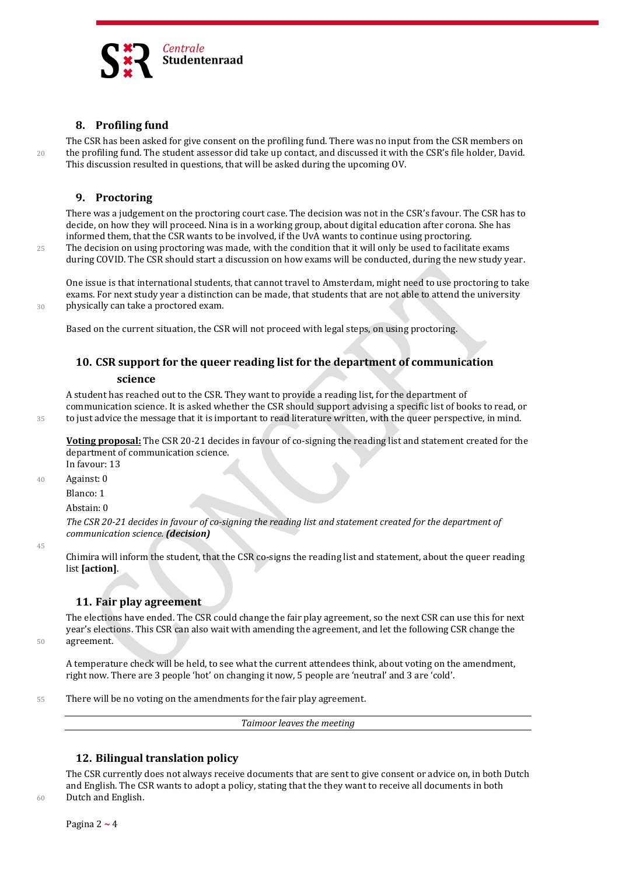

## **8. Profiling fund**

The CSR has been asked for give consent on the profiling fund. There was no input from the CSR members on 20 the profiling fund. The student assessor did take up contact, and discussed it with the CSR's file holder, David. This discussion resulted in questions, that will be asked during the upcoming OV.

### **9. Proctoring**

There was a judgement on the proctoring court case. The decision was not in the CSR's favour. The CSR has to decide, on how they will proceed. Nina is in a working group, about digital education after corona. She has informed them, that the CSR wants to be involved, if the UvA wants to continue using proctoring. 25 The decision on using proctoring was made, with the condition that it will only be used to facilitate exams during COVID. The CSR should start a discussion on how exams will be conducted, during the new study year.

One issue is that international students, that cannot travel to Amsterdam, might need to use proctoring to take exams. For next study year a distinction can be made, that students that are not able to attend the university 30 physically can take a proctored exam.

Based on the current situation, the CSR will not proceed with legal steps, on using proctoring.

# **10. CSR support for the queer reading list for the department of communication**

#### **science**

A student has reached out to the CSR. They want to provide a reading list, for the department of communication science. It is asked whether the CSR should support advising a specific list of books to read, or 35 to just advice the message that it is important to read literature written, with the queer perspective, in mind.

**Voting proposal:** The CSR 20-21 decides in favour of co-signing the reading list and statement created for the department of communication science.

In favour: 13

40 Against: 0

Blanco: 1

Abstain: 0

*The CSR 20-21 decides in favour of co-signing the reading list and statement created for the department of communication science. (decision)*

45

Chimira will inform the student, that the CSR co-signs the reading list and statement, about the queer reading list **[action]**.

### **11. Fair play agreement**

The elections have ended. The CSR could change the fair play agreement, so the next CSR can use this for next year's elections. This CSR can also wait with amending the agreement, and let the following CSR change the 50 agreement.

A temperature check will be held, to see what the current attendees think, about voting on the amendment, right now. There are 3 people 'hot' on changing it now, 5 people are 'neutral' and 3 are 'cold'.

55 There will be no voting on the amendments for the fair play agreement.

*Taimoor leaves the meeting*

## **12. Bilingual translation policy**

The CSR currently does not always receive documents that are sent to give consent or advice on, in both Dutch and English. The CSR wants to adopt a policy, stating that the they want to receive all documents in both 60 Dutch and English.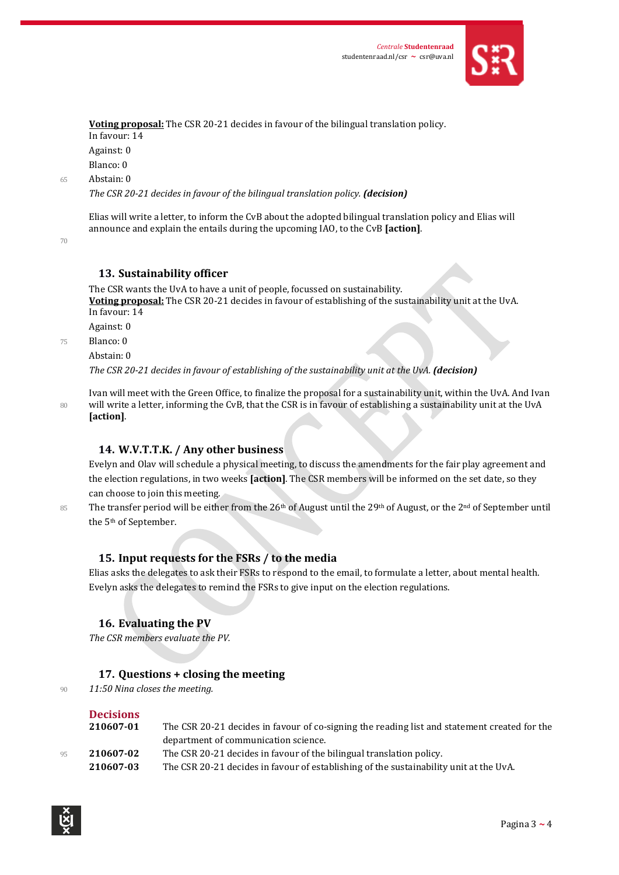

**Voting proposal:** The CSR 20-21 decides in favour of the bilingual translation policy. In favour: 14 Against: 0 Blanco: 0

65 Abstain: 0

*The CSR 20-21 decides in favour of the bilingual translation policy. (decision)*

Elias will write a letter, to inform the CvB about the adopted bilingual translation policy and Elias will announce and explain the entails during the upcoming IAO, to the CvB **[action]**.

70

### **13. Sustainability officer**

The CSR wants the UvA to have a unit of people, focussed on sustainability. **Voting proposal:** The CSR 20-21 decides in favour of establishing of the sustainability unit at the UvA. In favour: 14

Against: 0

75 Blanco: 0

Abstain: 0

*The CSR 20-21 decides in favour of establishing of the sustainability unit at the UvA. (decision)*

Ivan will meet with the Green Office, to finalize the proposal for a sustainability unit, within the UvA. And Ivan 80 will write a letter, informing the CvB, that the CSR is in favour of establishing a sustainability unit at the UvA **[action]**.

### **14. W.V.T.T.K. / Any other business**

Evelyn and Olav will schedule a physical meeting, to discuss the amendments for the fair play agreement and the election regulations, in two weeks **[action]**. The CSR members will be informed on the set date, so they can choose to join this meeting.

85 The transfer period will be either from the  $26<sup>th</sup>$  of August until the 29<sup>th</sup> of August, or the 2<sup>nd</sup> of September until

### **15. Input requests for the FSRs / to the media**

Elias asks the delegates to ask their FSRs to respond to the email, to formulate a letter, about mental health. Evelyn asks the delegates to remind the FSRs to give input on the election regulations.

## **16. Evaluating the PV**

*The CSR members evaluate the PV.*

### **17. Questions + closing the meeting**

<sup>90</sup> *11:50 Nina closes the meeting.*

the 5th of September.

## **Decisions**

| 210607-01 | The CSR 20-21 decides in favour of co-signing the reading list and statement created for the          |
|-----------|-------------------------------------------------------------------------------------------------------|
|           | department of communication science.                                                                  |
| 210607-02 | The CSR 20-21 decides in favour of the bilingual translation policy.                                  |
| 210607.03 | The CSR $20-21$ decides in favour of establishing of the sustainability unit at the $U_{\rm V}\Delta$ |

**210607-03** The CSR 20-21 decides in favour of establishing of the sustainability unit at the UvA.